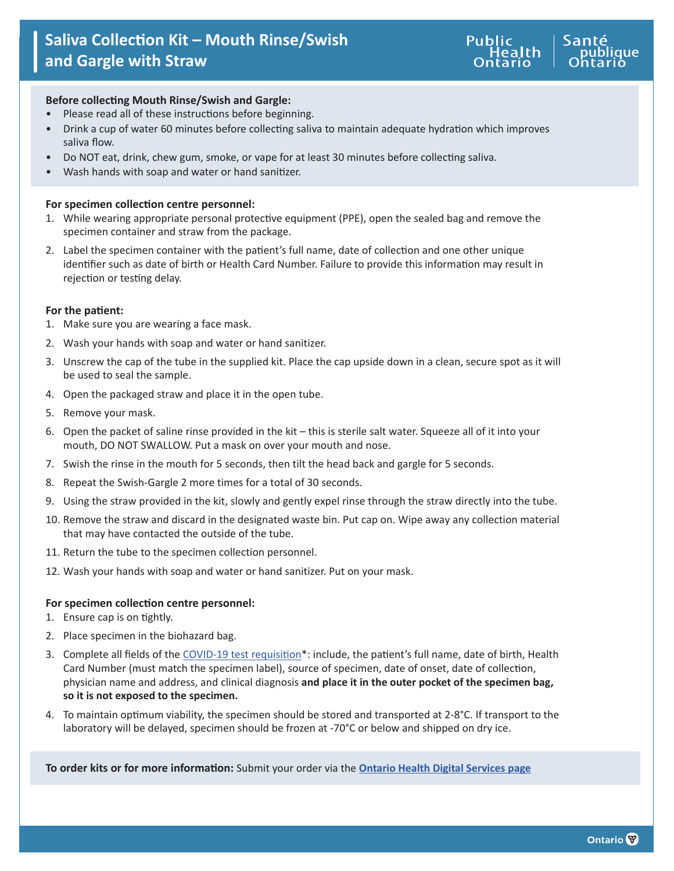

## **Before collecting Mouth Rinse/Swish and Gargle:**

- Please read all of these instructions before beginning.
- Drink a cup of water 60 minutes before collecting saliva to maintain adequate hydration which improves saliva flow.
- Do NOT eat, drink, chew gum, smoke, or vape for at least 30 minutes before collecting saliva.
- Wash hands with soap and water or hand sanitizer.

### **For specimen collection centre personnel:**

- 1. While wearing appropriate personal protective equipment (PPE), open the sealed bag and remove the specimen container and straw from the package.
- 2. Label the specimen container with the patient's full name, date of collection and one other unique identifier such as date of birth or Health Card Number. Failure to provide this information may result in rejection or testing delay.

### **For the patient:**

- 1. Make sure you are wearing a face mask.
- 2. Wash your hands with soap and water or hand sanitizer.
- 3. Unscrew the cap of the tube in the supplied kit. Place the cap upside down in a clean, secure spot as it will be used to seal the sample.
- 4. Open the packaged straw and place it in the open tube.
- 5. Remove your mask.
- 6. Open the packet of saline rinse provided in the kit this is sterile salt water. Squeeze all of it into your mouth, DO NOT SWALLOW. Put a mask on over your mouth and nose.
- 7. Swish the rinse in the mouth for 5 seconds, then tilt the head back and gargle for 5 seconds.
- 8. Repeat the Swish-Gargle 2 more times for a total of 30 seconds.
- 9. Using the straw provided in the kit, slowly and gently expel rinse through the straw directly into the tube.
- 10. Remove the straw and discard in the designated waste bin. Put cap on. Wipe away any collection material that may have contacted the outside of the tube.
- 11. Return the tube to the specimen collection personnel.
- 12. Wash your hands with soap and water or hand sanitizer. Put on your mask.

### **For specimen collection centre personnel:**

- 1. Ensure cap is on tightly.
- 2. Place specimen in the biohazard bag.
- 3. Complete all fields of the [COVID-19 test requisition](https://www.publichealthontario.ca/-/media/documents/lab/2019-ncov-test-requisition.pdf?la=en)\*: include, the patient's full name, date of birth, Health Card Number (must match the specimen label), source of specimen, date of onset, date of collection, physician name and address, and clinical diagnosis **and place it in the outer pocket of the specimen bag, so it is not exposed to the specimen.**
- 4. To maintain optimum viability, the specimen should be stored and transported at 2-8°C. If transport to the laboratory will be delayed, specimen should be frozen at -70°C or below and shipped on dry ice.

**To order kits or for more information:** Submit your order via the **[Ontario Health Digital Services page](https://ehealthontario.on.ca/en/health-care-professionals/digital-health-services)**